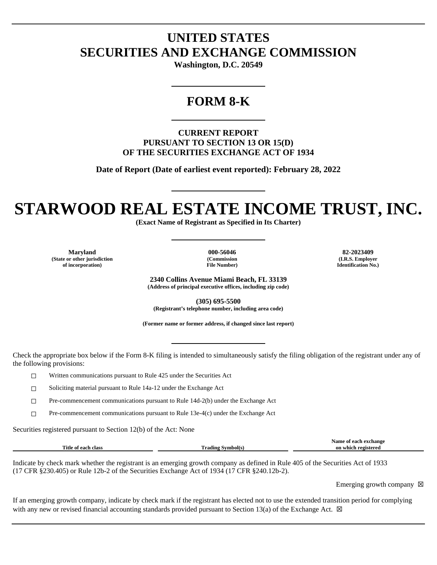## **UNITED STATES SECURITIES AND EXCHANGE COMMISSION**

**Washington, D.C. 20549**

### **FORM 8-K**

#### **CURRENT REPORT PURSUANT TO SECTION 13 OR 15(D) OF THE SECURITIES EXCHANGE ACT OF 1934**

**Date of Report (Date of earliest event reported): February 28, 2022**

# **STARWOOD REAL ESTATE INCOME TRUST, INC.**

**(Exact Name of Registrant as Specified in Its Charter)**

**Maryland 000-56046 82-2023409 (State or other jurisdiction of incorporation)**

**(Commission File Number)**

**(I.R.S. Employer Identification No.)**

**2340 Collins Avenue Miami Beach, FL 33139 (Address of principal executive offices, including zip code)**

**(305) 695-5500 (Registrant's telephone number, including area code)**

**(Former name or former address, if changed since last report)**

Check the appropriate box below if the Form 8-K filing is intended to simultaneously satisfy the filing obligation of the registrant under any of the following provisions:

☐ Written communications pursuant to Rule 425 under the Securities Act

☐ Soliciting material pursuant to Rule 14a-12 under the Exchange Act

☐ Pre-commencement communications pursuant to Rule 14d-2(b) under the Exchange Act

 $\Box$  Pre-commencement communications pursuant to Rule 13e-4(c) under the Exchange Act

Securities registered pursuant to Section 12(b) of the Act: None

|                                |                            | Name<br>exchange<br>$\cdots$ |
|--------------------------------|----------------------------|------------------------------|
| Title<br>clas.<br>. each<br>Оf | m<br>`rading .<br>™mbol(s. | registered<br>or<br>which    |
|                                |                            |                              |

Indicate by check mark whether the registrant is an emerging growth company as defined in Rule 405 of the Securities Act of 1933 (17 CFR §230.405) or Rule 12b-2 of the Securities Exchange Act of 1934 (17 CFR §240.12b-2).

Emerging growth company  $\boxtimes$ 

If an emerging growth company, indicate by check mark if the registrant has elected not to use the extended transition period for complying with any new or revised financial accounting standards provided pursuant to Section 13(a) of the Exchange Act.  $\boxtimes$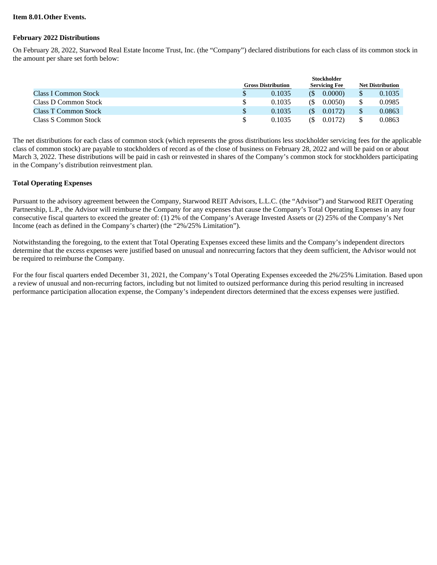#### **Item 8.01.Other Events.**

#### **February 2022 Distributions**

On February 28, 2022, Starwood Real Estate Income Trust, Inc. (the "Company") declared distributions for each class of its common stock in the amount per share set forth below:

|                             | <b>Stockholder</b>        |                      |                         |        |  |
|-----------------------------|---------------------------|----------------------|-------------------------|--------|--|
|                             | <b>Gross Distribution</b> | <b>Servicing Fee</b> | <b>Net Distribution</b> |        |  |
| <b>Class I Common Stock</b> | 0.1035                    | 0.0000<br>(\$        |                         | 0.1035 |  |
| Class D Common Stock        | 0.1035                    | 0.0050<br>GS)        |                         | 0.0985 |  |
| Class T Common Stock        | 0.1035                    | 0.0172<br>(S)        |                         | 0.0863 |  |
| Class S Common Stock        | 0.1035                    | 0.0172<br>(\$        |                         | 0.0863 |  |

The net distributions for each class of common stock (which represents the gross distributions less stockholder servicing fees for the applicable class of common stock) are payable to stockholders of record as of the close of business on February 28, 2022 and will be paid on or about March 3, 2022. These distributions will be paid in cash or reinvested in shares of the Company's common stock for stockholders participating in the Company's distribution reinvestment plan.

#### **Total Operating Expenses**

Pursuant to the advisory agreement between the Company, Starwood REIT Advisors, L.L.C. (the "Advisor") and Starwood REIT Operating Partnership, L.P., the Advisor will reimburse the Company for any expenses that cause the Company's Total Operating Expenses in any four consecutive fiscal quarters to exceed the greater of: (1) 2% of the Company's Average Invested Assets or (2) 25% of the Company's Net Income (each as defined in the Company's charter) (the "2%/25% Limitation").

Notwithstanding the foregoing, to the extent that Total Operating Expenses exceed these limits and the Company's independent directors determine that the excess expenses were justified based on unusual and nonrecurring factors that they deem sufficient, the Advisor would not be required to reimburse the Company.

For the four fiscal quarters ended December 31, 2021, the Company's Total Operating Expenses exceeded the 2%/25% Limitation. Based upon a review of unusual and non-recurring factors, including but not limited to outsized performance during this period resulting in increased performance participation allocation expense, the Company's independent directors determined that the excess expenses were justified.